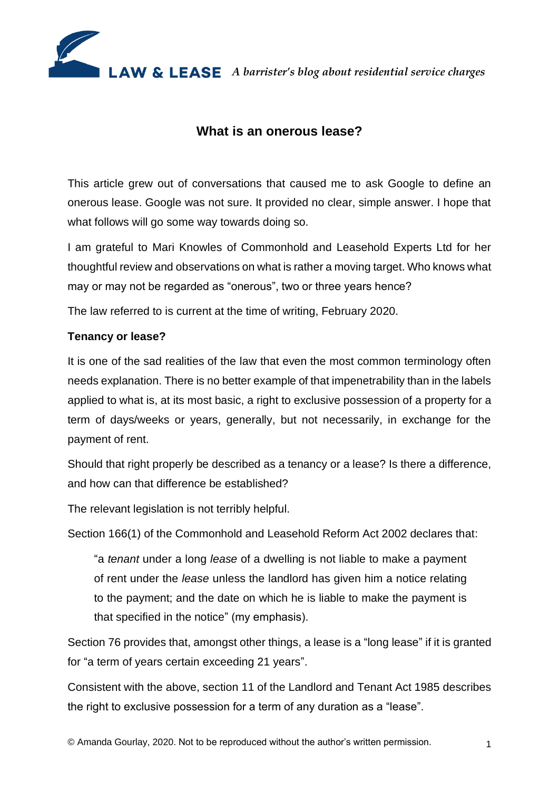

# **What is an onerous lease?**

This article grew out of conversations that caused me to ask Google to define an onerous lease. Google was not sure. It provided no clear, simple answer. I hope that what follows will go some way towards doing so.

I am grateful to Mari Knowles of Commonhold and Leasehold Experts Ltd for her thoughtful review and observations on what is rather a moving target. Who knows what may or may not be regarded as "onerous", two or three years hence?

The law referred to is current at the time of writing, February 2020.

# **Tenancy or lease?**

It is one of the sad realities of the law that even the most common terminology often needs explanation. There is no better example of that impenetrability than in the labels applied to what is, at its most basic, a right to exclusive possession of a property for a term of days/weeks or years, generally, but not necessarily, in exchange for the payment of rent.

Should that right properly be described as a tenancy or a lease? Is there a difference, and how can that difference be established?

The relevant legislation is not terribly helpful.

Section 166(1) of the Commonhold and Leasehold Reform Act 2002 declares that:

"a *tenant* under a long *lease* of a dwelling is not liable to make a payment of rent under the *lease* unless the landlord has given him a notice relating to the payment; and the date on which he is liable to make the payment is that specified in the notice" (my emphasis).

Section 76 provides that, amongst other things, a lease is a "long lease" if it is granted for "a term of years certain exceeding 21 years".

Consistent with the above, section 11 of the Landlord and Tenant Act 1985 describes the right to exclusive possession for a term of any duration as a "lease".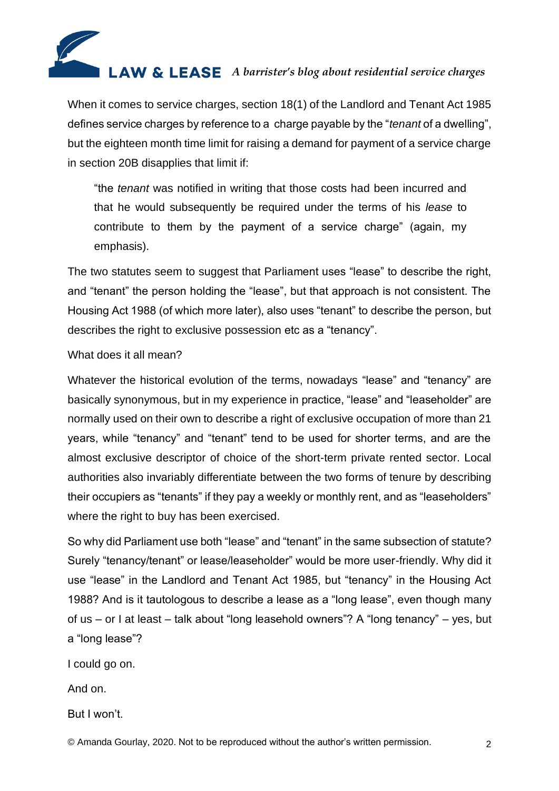

When it comes to service charges, section 18(1) of the Landlord and Tenant Act 1985 defines service charges by reference to a charge payable by the "*tenant* of a dwelling", but the eighteen month time limit for raising a demand for payment of a service charge in section 20B disapplies that limit if:

"the *tenant* was notified in writing that those costs had been incurred and that he would subsequently be required under the terms of his *lease* to contribute to them by the payment of a service charge" (again, my emphasis).

The two statutes seem to suggest that Parliament uses "lease" to describe the right, and "tenant" the person holding the "lease", but that approach is not consistent. The Housing Act 1988 (of which more later), also uses "tenant" to describe the person, but describes the right to exclusive possession etc as a "tenancy".

#### What does it all mean?

Whatever the historical evolution of the terms, nowadays "lease" and "tenancy" are basically synonymous, but in my experience in practice, "lease" and "leaseholder" are normally used on their own to describe a right of exclusive occupation of more than 21 years, while "tenancy" and "tenant" tend to be used for shorter terms, and are the almost exclusive descriptor of choice of the short-term private rented sector. Local authorities also invariably differentiate between the two forms of tenure by describing their occupiers as "tenants" if they pay a weekly or monthly rent, and as "leaseholders" where the right to buy has been exercised.

So why did Parliament use both "lease" and "tenant" in the same subsection of statute? Surely "tenancy/tenant" or lease/leaseholder" would be more user-friendly. Why did it use "lease" in the Landlord and Tenant Act 1985, but "tenancy" in the Housing Act 1988? And is it tautologous to describe a lease as a "long lease", even though many of us – or I at least – talk about "long leasehold owners"? A "long tenancy" – yes, but a "long lease"?

I could go on.

And on.

But I won't.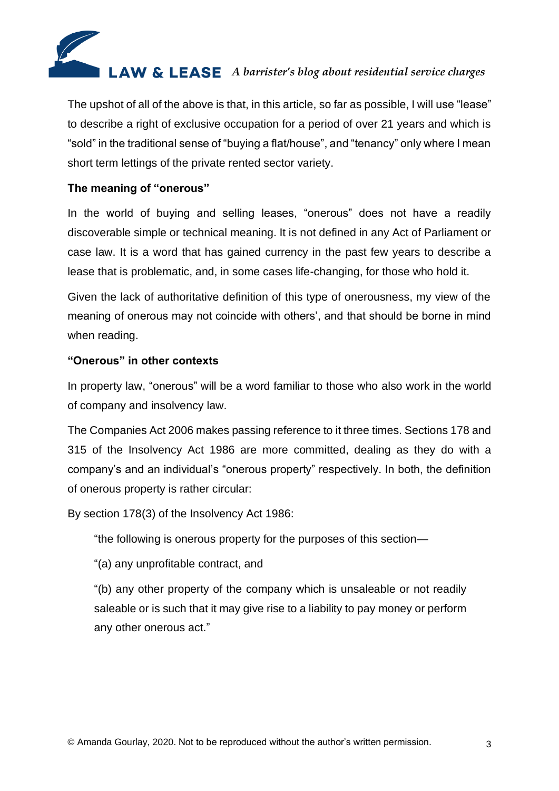

The upshot of all of the above is that, in this article, so far as possible, I will use "lease" to describe a right of exclusive occupation for a period of over 21 years and which is "sold" in the traditional sense of "buying a flat/house", and "tenancy" only where I mean short term lettings of the private rented sector variety.

# **The meaning of "onerous"**

In the world of buying and selling leases, "onerous" does not have a readily discoverable simple or technical meaning. It is not defined in any Act of Parliament or case law. It is a word that has gained currency in the past few years to describe a lease that is problematic, and, in some cases life-changing, for those who hold it.

Given the lack of authoritative definition of this type of onerousness, my view of the meaning of onerous may not coincide with others', and that should be borne in mind when reading.

# **"Onerous" in other contexts**

In property law, "onerous" will be a word familiar to those who also work in the world of company and insolvency law.

The Companies Act 2006 makes passing reference to it three times. Sections 178 and 315 of the Insolvency Act 1986 are more committed, dealing as they do with a company's and an individual's "onerous property" respectively. In both, the definition of onerous property is rather circular:

By section 178(3) of the Insolvency Act 1986:

"the following is onerous property for the purposes of this section—

"(a) any unprofitable contract, and

"(b) any other property of the company which is unsaleable or not readily saleable or is such that it may give rise to a liability to pay money or perform any other onerous act."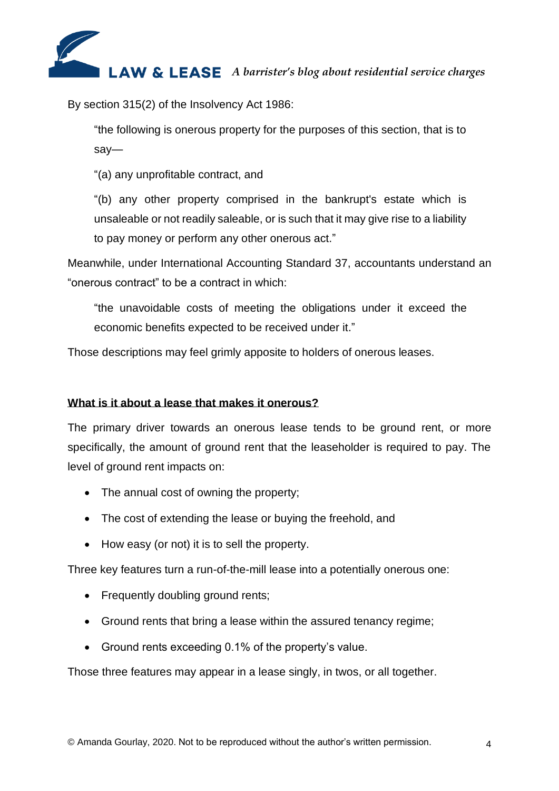

By section 315(2) of the Insolvency Act 1986:

"the following is onerous property for the purposes of this section, that is to say—

"(a) any unprofitable contract, and

"(b) any other property comprised in the bankrupt's estate which is unsaleable or not readily saleable, or is such that it may give rise to a liability to pay money or perform any other onerous act."

Meanwhile, under International Accounting Standard 37, accountants understand an "onerous contract" to be a contract in which:

"the unavoidable costs of meeting the obligations under it exceed the economic benefits expected to be received under it."

Those descriptions may feel grimly apposite to holders of onerous leases.

#### **What is it about a lease that makes it onerous?**

The primary driver towards an onerous lease tends to be ground rent, or more specifically, the amount of ground rent that the leaseholder is required to pay. The level of ground rent impacts on:

- The annual cost of owning the property;
- The cost of extending the lease or buying the freehold, and
- How easy (or not) it is to sell the property.

Three key features turn a run-of-the-mill lease into a potentially onerous one:

- Frequently doubling ground rents;
- Ground rents that bring a lease within the assured tenancy regime;
- Ground rents exceeding 0.1% of the property's value.

Those three features may appear in a lease singly, in twos, or all together.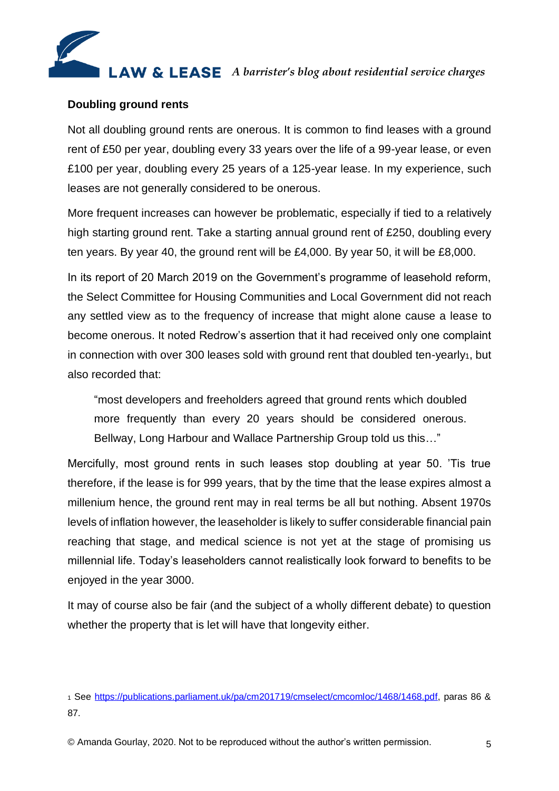

#### **Doubling ground rents**

Not all doubling ground rents are onerous. It is common to find leases with a ground rent of £50 per year, doubling every 33 years over the life of a 99-year lease, or even £100 per year, doubling every 25 years of a 125-year lease. In my experience, such leases are not generally considered to be onerous.

More frequent increases can however be problematic, especially if tied to a relatively high starting ground rent. Take a starting annual ground rent of £250, doubling every ten years. By year 40, the ground rent will be £4,000. By year 50, it will be £8,000.

In its report of 20 March 2019 on the Government's programme of leasehold reform, the Select Committee for Housing Communities and Local Government did not reach any settled view as to the frequency of increase that might alone cause a lease to become onerous. It noted Redrow's assertion that it had received only one complaint in connection with over 300 leases sold with ground rent that doubled ten-yearly1, but also recorded that:

"most developers and freeholders agreed that ground rents which doubled more frequently than every 20 years should be considered onerous. Bellway, Long Harbour and Wallace Partnership Group told us this…"

Mercifully, most ground rents in such leases stop doubling at year 50. 'Tis true therefore, if the lease is for 999 years, that by the time that the lease expires almost a millenium hence, the ground rent may in real terms be all but nothing. Absent 1970s levels of inflation however, the leaseholder is likely to suffer considerable financial pain reaching that stage, and medical science is not yet at the stage of promising us millennial life. Today's leaseholders cannot realistically look forward to benefits to be enjoyed in the year 3000.

It may of course also be fair (and the subject of a wholly different debate) to question whether the property that is let will have that longevity either.

© Amanda Gourlay, 2020. Not to be reproduced without the author's written permission. 5

<sup>1</sup> See [https://publications.parliament.uk/pa/cm201719/cmselect/cmcomloc/1468/1468.pdf,](https://publications.parliament.uk/pa/cm201719/cmselect/cmcomloc/1468/1468.pdf) paras 86 & 87.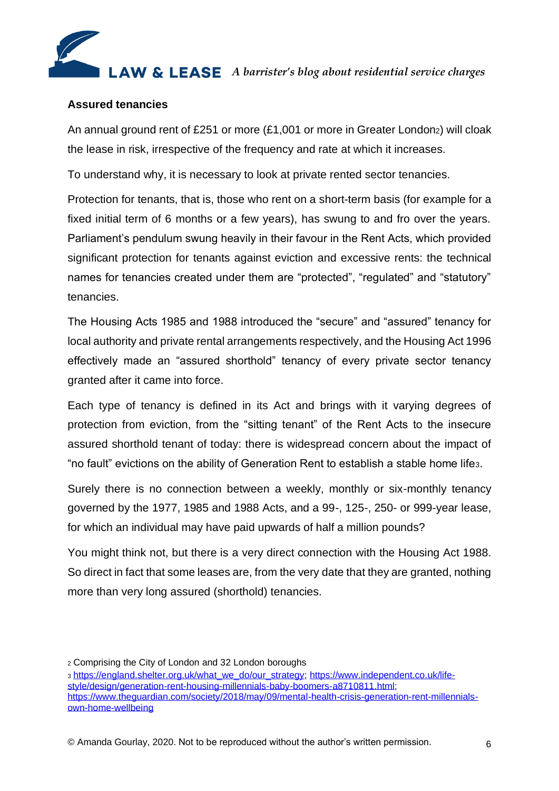# **LAW & LEASE** A barrister's blog about residential service charges

### **Assured tenancies**

An annual ground rent of £251 or more (£1,001 or more in Greater London2) will cloak the lease in risk, irrespective of the frequency and rate at which it increases.

To understand why, it is necessary to look at private rented sector tenancies.

Protection for tenants, that is, those who rent on a short-term basis (for example for a fixed initial term of 6 months or a few years), has swung to and fro over the years. Parliament's pendulum swung heavily in their favour in the Rent Acts, which provided significant protection for tenants against eviction and excessive rents: the technical names for tenancies created under them are "protected", "regulated" and "statutory" tenancies.

The Housing Acts 1985 and 1988 introduced the "secure" and "assured" tenancy for local authority and private rental arrangements respectively, and the Housing Act 1996 effectively made an "assured shorthold" tenancy of every private sector tenancy granted after it came into force.

Each type of tenancy is defined in its Act and brings with it varying degrees of protection from eviction, from the "sitting tenant" of the Rent Acts to the insecure assured shorthold tenant of today: there is widespread concern about the impact of "no fault" evictions on the ability of Generation Rent to establish a stable home life3.

Surely there is no connection between a weekly, monthly or six-monthly tenancy governed by the 1977, 1985 and 1988 Acts, and a 99-, 125-, 250- or 999-year lease, for which an individual may have paid upwards of half a million pounds?

You might think not, but there is a very direct connection with the Housing Act 1988. So direct in fact that some leases are, from the very date that they are granted, nothing more than very long assured (shorthold) tenancies.

<sup>2</sup> Comprising the City of London and 32 London boroughs

<sup>3</sup> [https://england.shelter.org.uk/what\\_we\\_do/our\\_strategy;](https://england.shelter.org.uk/what_we_do/our_strategy) [https://www.independent.co.uk/life](https://www.independent.co.uk/life-style/design/generation-rent-housing-millennials-baby-boomers-a8710811.html)[style/design/generation-rent-housing-millennials-baby-boomers-a8710811.html;](https://www.independent.co.uk/life-style/design/generation-rent-housing-millennials-baby-boomers-a8710811.html) [https://www.theguardian.com/society/2018/may/09/mental-health-crisis-generation-rent-millennials](https://www.theguardian.com/society/2018/may/09/mental-health-crisis-generation-rent-millennials-own-home-wellbeing)[own-home-wellbeing](https://www.theguardian.com/society/2018/may/09/mental-health-crisis-generation-rent-millennials-own-home-wellbeing)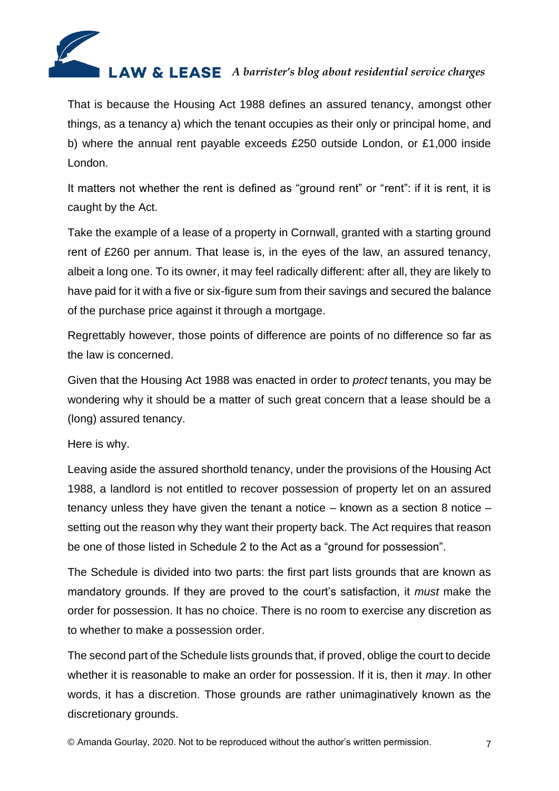

That is because the Housing Act 1988 defines an assured tenancy, amongst other things, as a tenancy a) which the tenant occupies as their only or principal home, and b) where the annual rent payable exceeds £250 outside London, or £1,000 inside London.

It matters not whether the rent is defined as "ground rent" or "rent": if it is rent, it is caught by the Act.

Take the example of a lease of a property in Cornwall, granted with a starting ground rent of £260 per annum. That lease is, in the eyes of the law, an assured tenancy, albeit a long one. To its owner, it may feel radically different: after all, they are likely to have paid for it with a five or six-figure sum from their savings and secured the balance of the purchase price against it through a mortgage.

Regrettably however, those points of difference are points of no difference so far as the law is concerned.

Given that the Housing Act 1988 was enacted in order to *protect* tenants, you may be wondering why it should be a matter of such great concern that a lease should be a (long) assured tenancy.

Here is why.

Leaving aside the assured shorthold tenancy, under the provisions of the Housing Act 1988, a landlord is not entitled to recover possession of property let on an assured tenancy unless they have given the tenant a notice – known as a section 8 notice – setting out the reason why they want their property back. The Act requires that reason be one of those listed in Schedule 2 to the Act as a "ground for possession".

The Schedule is divided into two parts: the first part lists grounds that are known as mandatory grounds. If they are proved to the court's satisfaction, it *must* make the order for possession. It has no choice. There is no room to exercise any discretion as to whether to make a possession order.

The second part of the Schedule lists grounds that, if proved, oblige the court to decide whether it is reasonable to make an order for possession. If it is, then it *may*. In other words, it has a discretion. Those grounds are rather unimaginatively known as the discretionary grounds.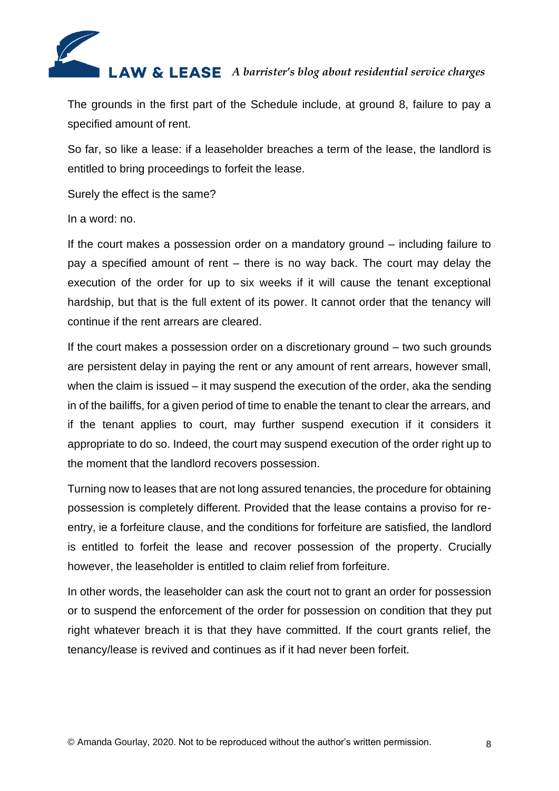

The grounds in the first part of the Schedule include, at ground 8, failure to pay a specified amount of rent.

So far, so like a lease: if a leaseholder breaches a term of the lease, the landlord is entitled to bring proceedings to forfeit the lease.

Surely the effect is the same?

In a word: no.

If the court makes a possession order on a mandatory ground – including failure to pay a specified amount of rent – there is no way back. The court may delay the execution of the order for up to six weeks if it will cause the tenant exceptional hardship, but that is the full extent of its power. It cannot order that the tenancy will continue if the rent arrears are cleared.

If the court makes a possession order on a discretionary ground – two such grounds are persistent delay in paying the rent or any amount of rent arrears, however small, when the claim is issued – it may suspend the execution of the order, aka the sending in of the bailiffs, for a given period of time to enable the tenant to clear the arrears, and if the tenant applies to court, may further suspend execution if it considers it appropriate to do so. Indeed, the court may suspend execution of the order right up to the moment that the landlord recovers possession.

Turning now to leases that are not long assured tenancies, the procedure for obtaining possession is completely different. Provided that the lease contains a proviso for reentry, ie a forfeiture clause, and the conditions for forfeiture are satisfied, the landlord is entitled to forfeit the lease and recover possession of the property. Crucially however, the leaseholder is entitled to claim relief from forfeiture.

In other words, the leaseholder can ask the court not to grant an order for possession or to suspend the enforcement of the order for possession on condition that they put right whatever breach it is that they have committed. If the court grants relief, the tenancy/lease is revived and continues as if it had never been forfeit.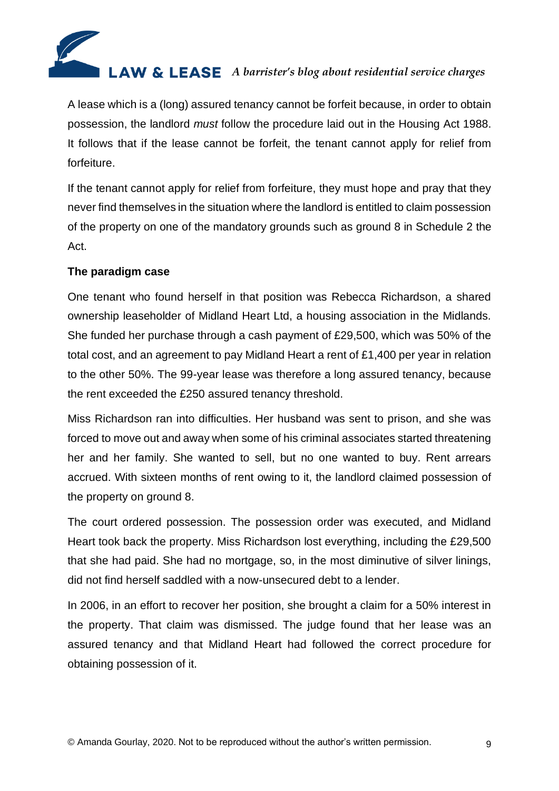

A lease which is a (long) assured tenancy cannot be forfeit because, in order to obtain possession, the landlord *must* follow the procedure laid out in the Housing Act 1988. It follows that if the lease cannot be forfeit, the tenant cannot apply for relief from forfeiture.

If the tenant cannot apply for relief from forfeiture, they must hope and pray that they never find themselves in the situation where the landlord is entitled to claim possession of the property on one of the mandatory grounds such as ground 8 in Schedule 2 the Act.

# **The paradigm case**

One tenant who found herself in that position was Rebecca Richardson, a shared ownership leaseholder of Midland Heart Ltd, a housing association in the Midlands. She funded her purchase through a cash payment of £29,500, which was 50% of the total cost, and an agreement to pay Midland Heart a rent of £1,400 per year in relation to the other 50%. The 99-year lease was therefore a long assured tenancy, because the rent exceeded the £250 assured tenancy threshold.

Miss Richardson ran into difficulties. Her husband was sent to prison, and she was forced to move out and away when some of his criminal associates started threatening her and her family. She wanted to sell, but no one wanted to buy. Rent arrears accrued. With sixteen months of rent owing to it, the landlord claimed possession of the property on ground 8.

The court ordered possession. The possession order was executed, and Midland Heart took back the property. Miss Richardson lost everything, including the £29,500 that she had paid. She had no mortgage, so, in the most diminutive of silver linings, did not find herself saddled with a now-unsecured debt to a lender.

In 2006, in an effort to recover her position, she brought a claim for a 50% interest in the property. That claim was dismissed. The judge found that her lease was an assured tenancy and that Midland Heart had followed the correct procedure for obtaining possession of it.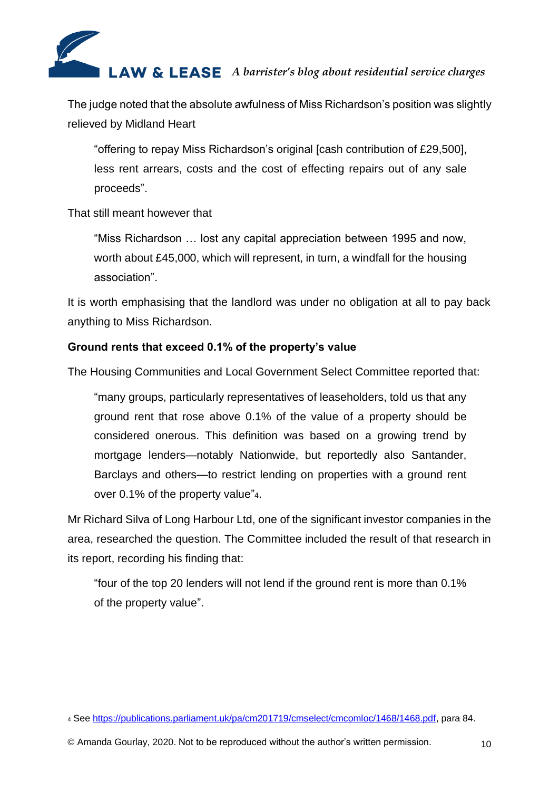

The judge noted that the absolute awfulness of Miss Richardson's position was slightly relieved by Midland Heart

"offering to repay Miss Richardson's original [cash contribution of £29,500], less rent arrears, costs and the cost of effecting repairs out of any sale proceeds".

#### That still meant however that

"Miss Richardson … lost any capital appreciation between 1995 and now, worth about £45,000, which will represent, in turn, a windfall for the housing association".

It is worth emphasising that the landlord was under no obligation at all to pay back anything to Miss Richardson.

# **Ground rents that exceed 0.1% of the property's value**

The Housing Communities and Local Government Select Committee reported that:

"many groups, particularly representatives of leaseholders, told us that any ground rent that rose above 0.1% of the value of a property should be considered onerous. This definition was based on a growing trend by mortgage lenders—notably Nationwide, but reportedly also Santander, Barclays and others—to restrict lending on properties with a ground rent over 0.1% of the property value"4.

Mr Richard Silva of Long Harbour Ltd, one of the significant investor companies in the area, researched the question. The Committee included the result of that research in its report, recording his finding that:

"four of the top 20 lenders will not lend if the ground rent is more than 0.1% of the property value".

<sup>4</sup> See [https://publications.parliament.uk/pa/cm201719/cmselect/cmcomloc/1468/1468.pdf,](https://publications.parliament.uk/pa/cm201719/cmselect/cmcomloc/1468/1468.pdf) para 84.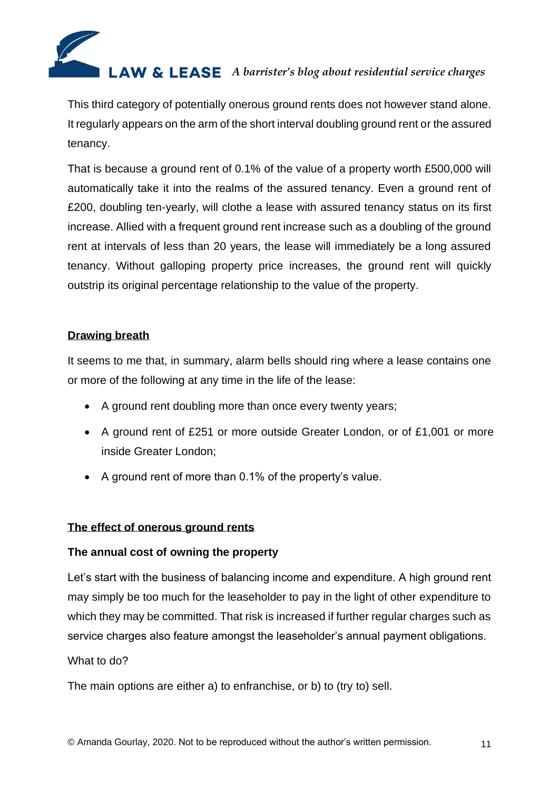

This third category of potentially onerous ground rents does not however stand alone. It regularly appears on the arm of the short interval doubling ground rent or the assured tenancy.

That is because a ground rent of 0.1% of the value of a property worth £500,000 will automatically take it into the realms of the assured tenancy. Even a ground rent of £200, doubling ten-yearly, will clothe a lease with assured tenancy status on its first increase. Allied with a frequent ground rent increase such as a doubling of the ground rent at intervals of less than 20 years, the lease will immediately be a long assured tenancy. Without galloping property price increases, the ground rent will quickly outstrip its original percentage relationship to the value of the property.

# **Drawing breath**

It seems to me that, in summary, alarm bells should ring where a lease contains one or more of the following at any time in the life of the lease:

- A ground rent doubling more than once every twenty years;
- A ground rent of £251 or more outside Greater London, or of £1,001 or more inside Greater London;
- A ground rent of more than 0.1% of the property's value.

#### **The effect of onerous ground rents**

#### **The annual cost of owning the property**

Let's start with the business of balancing income and expenditure. A high ground rent may simply be too much for the leaseholder to pay in the light of other expenditure to which they may be committed. That risk is increased if further regular charges such as service charges also feature amongst the leaseholder's annual payment obligations.

#### What to do?

The main options are either a) to enfranchise, or b) to (try to) sell.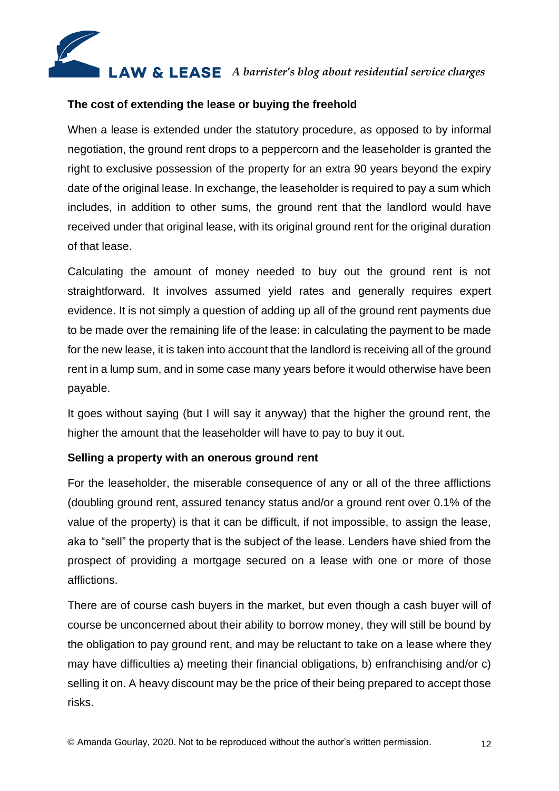

# **The cost of extending the lease or buying the freehold**

When a lease is extended under the statutory procedure, as opposed to by informal negotiation, the ground rent drops to a peppercorn and the leaseholder is granted the right to exclusive possession of the property for an extra 90 years beyond the expiry date of the original lease. In exchange, the leaseholder is required to pay a sum which includes, in addition to other sums, the ground rent that the landlord would have received under that original lease, with its original ground rent for the original duration of that lease.

Calculating the amount of money needed to buy out the ground rent is not straightforward. It involves assumed yield rates and generally requires expert evidence. It is not simply a question of adding up all of the ground rent payments due to be made over the remaining life of the lease: in calculating the payment to be made for the new lease, it is taken into account that the landlord is receiving all of the ground rent in a lump sum, and in some case many years before it would otherwise have been payable.

It goes without saying (but I will say it anyway) that the higher the ground rent, the higher the amount that the leaseholder will have to pay to buy it out.

# **Selling a property with an onerous ground rent**

For the leaseholder, the miserable consequence of any or all of the three afflictions (doubling ground rent, assured tenancy status and/or a ground rent over 0.1% of the value of the property) is that it can be difficult, if not impossible, to assign the lease, aka to "sell" the property that is the subject of the lease. Lenders have shied from the prospect of providing a mortgage secured on a lease with one or more of those afflictions.

There are of course cash buyers in the market, but even though a cash buyer will of course be unconcerned about their ability to borrow money, they will still be bound by the obligation to pay ground rent, and may be reluctant to take on a lease where they may have difficulties a) meeting their financial obligations, b) enfranchising and/or c) selling it on. A heavy discount may be the price of their being prepared to accept those risks.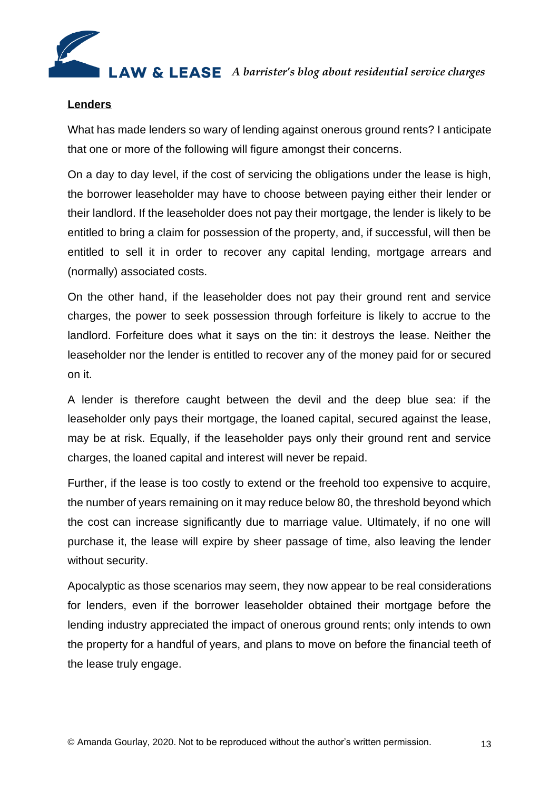

#### **Lenders**

What has made lenders so wary of lending against onerous ground rents? I anticipate that one or more of the following will figure amongst their concerns.

On a day to day level, if the cost of servicing the obligations under the lease is high, the borrower leaseholder may have to choose between paying either their lender or their landlord. If the leaseholder does not pay their mortgage, the lender is likely to be entitled to bring a claim for possession of the property, and, if successful, will then be entitled to sell it in order to recover any capital lending, mortgage arrears and (normally) associated costs.

On the other hand, if the leaseholder does not pay their ground rent and service charges, the power to seek possession through forfeiture is likely to accrue to the landlord. Forfeiture does what it says on the tin: it destroys the lease. Neither the leaseholder nor the lender is entitled to recover any of the money paid for or secured on it.

A lender is therefore caught between the devil and the deep blue sea: if the leaseholder only pays their mortgage, the loaned capital, secured against the lease, may be at risk. Equally, if the leaseholder pays only their ground rent and service charges, the loaned capital and interest will never be repaid.

Further, if the lease is too costly to extend or the freehold too expensive to acquire, the number of years remaining on it may reduce below 80, the threshold beyond which the cost can increase significantly due to marriage value. Ultimately, if no one will purchase it, the lease will expire by sheer passage of time, also leaving the lender without security.

Apocalyptic as those scenarios may seem, they now appear to be real considerations for lenders, even if the borrower leaseholder obtained their mortgage before the lending industry appreciated the impact of onerous ground rents; only intends to own the property for a handful of years, and plans to move on before the financial teeth of the lease truly engage.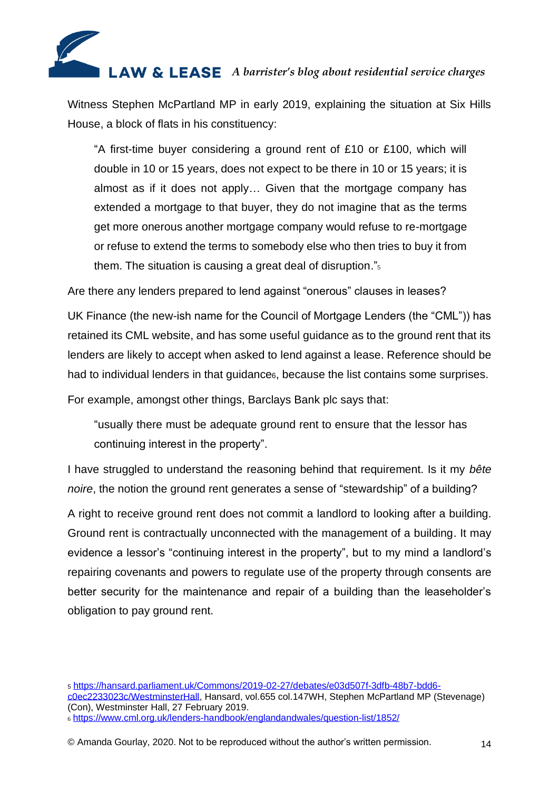

Witness Stephen McPartland MP in early 2019, explaining the situation at Six Hills House, a block of flats in his constituency:

"A first-time buyer considering a ground rent of £10 or £100, which will double in 10 or 15 years, does not expect to be there in 10 or 15 years; it is almost as if it does not apply… Given that the mortgage company has extended a mortgage to that buyer, they do not imagine that as the terms get more onerous another mortgage company would refuse to re-mortgage or refuse to extend the terms to somebody else who then tries to buy it from them. The situation is causing a great deal of disruption."<sup>5</sup>

Are there any lenders prepared to lend against "onerous" clauses in leases?

UK Finance (the new-ish name for the Council of Mortgage Lenders (the "CML")) has retained its CML website, and has some useful guidance as to the ground rent that its lenders are likely to accept when asked to lend against a lease. Reference should be had to individual lenders in that guidance<sub>6</sub>, because the list contains some surprises.

For example, amongst other things, Barclays Bank plc says that:

"usually there must be adequate ground rent to ensure that the lessor has continuing interest in the property".

I have struggled to understand the reasoning behind that requirement. Is it my *bête noire*, the notion the ground rent generates a sense of "stewardship" of a building?

A right to receive ground rent does not commit a landlord to looking after a building. Ground rent is contractually unconnected with the management of a building. It may evidence a lessor's "continuing interest in the property", but to my mind a landlord's repairing covenants and powers to regulate use of the property through consents are better security for the maintenance and repair of a building than the leaseholder's obligation to pay ground rent.

<sup>5</sup> [https://hansard.parliament.uk/Commons/2019-02-27/debates/e03d507f-3dfb-48b7-bdd6](https://hansard.parliament.uk/Commons/2019-02-27/debates/e03d507f-3dfb-48b7-bdd6-c0ec2233023c/WestminsterHall) [c0ec2233023c/WestminsterHall,](https://hansard.parliament.uk/Commons/2019-02-27/debates/e03d507f-3dfb-48b7-bdd6-c0ec2233023c/WestminsterHall) Hansard, vol.655 col.147WH, Stephen McPartland MP (Stevenage) (Con), Westminster Hall, 27 February 2019. <sup>6</sup> <https://www.cml.org.uk/lenders-handbook/englandandwales/question-list/1852/>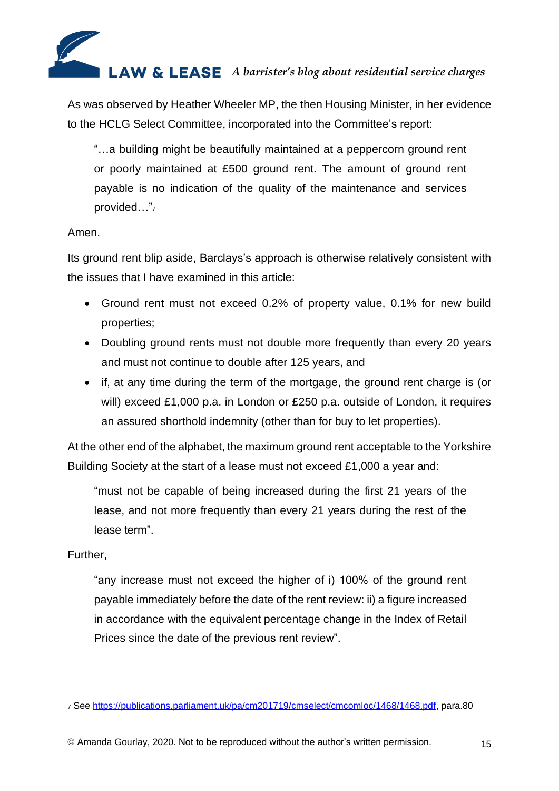

As was observed by Heather Wheeler MP, the then Housing Minister, in her evidence to the HCLG Select Committee, incorporated into the Committee's report:

"…a building might be beautifully maintained at a peppercorn ground rent or poorly maintained at £500 ground rent. The amount of ground rent payable is no indication of the quality of the maintenance and services provided..."7

# Amen.

Its ground rent blip aside, Barclays's approach is otherwise relatively consistent with the issues that I have examined in this article:

- Ground rent must not exceed 0.2% of property value, 0.1% for new build properties;
- Doubling ground rents must not double more frequently than every 20 years and must not continue to double after 125 years, and
- if, at any time during the term of the mortgage, the ground rent charge is (or will) exceed £1,000 p.a. in London or £250 p.a. outside of London, it requires an assured shorthold indemnity (other than for buy to let properties).

At the other end of the alphabet, the maximum ground rent acceptable to the Yorkshire Building Society at the start of a lease must not exceed £1,000 a year and:

"must not be capable of being increased during the first 21 years of the lease, and not more frequently than every 21 years during the rest of the lease term".

#### Further,

"any increase must not exceed the higher of i) 100% of the ground rent payable immediately before the date of the rent review: ii) a figure increased in accordance with the equivalent percentage change in the Index of Retail Prices since the date of the previous rent review".

<sup>7</sup> See [https://publications.parliament.uk/pa/cm201719/cmselect/cmcomloc/1468/1468.pdf,](https://publications.parliament.uk/pa/cm201719/cmselect/cmcomloc/1468/1468.pdf) para.80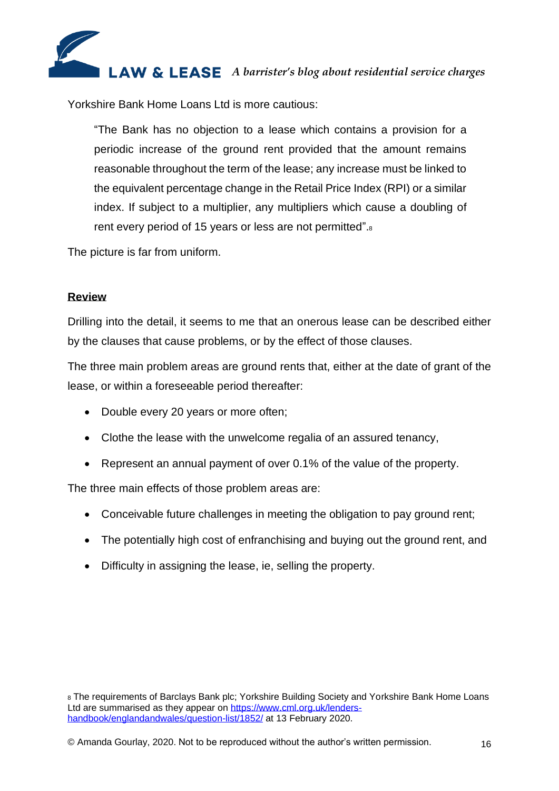

Yorkshire Bank Home Loans Ltd is more cautious:

"The Bank has no objection to a lease which contains a provision for a periodic increase of the ground rent provided that the amount remains reasonable throughout the term of the lease; any increase must be linked to the equivalent percentage change in the Retail Price Index (RPI) or a similar index. If subject to a multiplier, any multipliers which cause a doubling of rent every period of 15 years or less are not permitted".<sup>8</sup>

The picture is far from uniform.

# **Review**

Drilling into the detail, it seems to me that an onerous lease can be described either by the clauses that cause problems, or by the effect of those clauses.

The three main problem areas are ground rents that, either at the date of grant of the lease, or within a foreseeable period thereafter:

- Double every 20 years or more often;
- Clothe the lease with the unwelcome regalia of an assured tenancy,
- Represent an annual payment of over 0.1% of the value of the property.

The three main effects of those problem areas are:

- Conceivable future challenges in meeting the obligation to pay ground rent:
- The potentially high cost of enfranchising and buying out the ground rent, and
- Difficulty in assigning the lease, ie, selling the property.

<sup>8</sup> The requirements of Barclays Bank plc; Yorkshire Building Society and Yorkshire Bank Home Loans Ltd are summarised as they appear on [https://www.cml.org.uk/lenders](https://www.cml.org.uk/lenders-handbook/englandandwales/question-list/1852/)[handbook/englandandwales/question-list/1852/](https://www.cml.org.uk/lenders-handbook/englandandwales/question-list/1852/) at 13 February 2020.

<sup>©</sup> Amanda Gourlay, 2020. Not to be reproduced without the author's written permission. 16